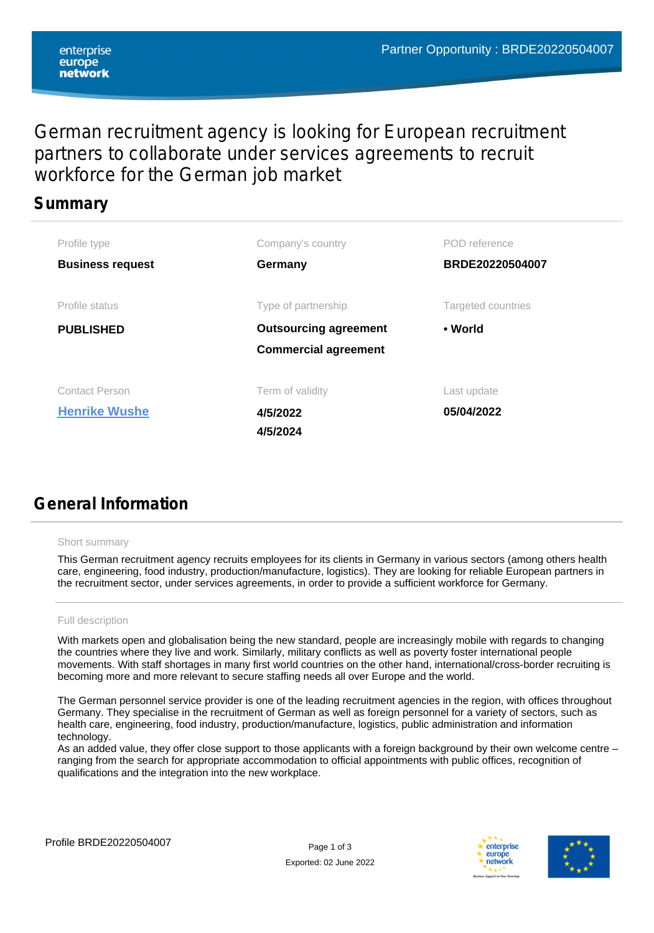## German recruitment agency is looking for European recruitment partners to collaborate under services agreements to recruit workforce for the German job market

### **Summary**

| Profile type            | Company's country            | POD reference      |  |
|-------------------------|------------------------------|--------------------|--|
| <b>Business request</b> | Germany                      | BRDE20220504007    |  |
|                         |                              |                    |  |
| Profile status          | Type of partnership          | Targeted countries |  |
| <b>PUBLISHED</b>        | <b>Outsourcing agreement</b> | • World            |  |
|                         | <b>Commercial agreement</b>  |                    |  |
|                         |                              |                    |  |
| <b>Contact Person</b>   | Term of validity             | Last update        |  |
| <b>Henrike Wushe</b>    | 4/5/2022                     | 05/04/2022         |  |
|                         | 4/5/2024                     |                    |  |

# **General Information**

#### Short summary

This German recruitment agency recruits employees for its clients in Germany in various sectors (among others health care, engineering, food industry, production/manufacture, logistics). They are looking for reliable European partners in the recruitment sector, under services agreements, in order to provide a sufficient workforce for Germany.

#### Full description

With markets open and globalisation being the new standard, people are increasingly mobile with regards to changing the countries where they live and work. Similarly, military conflicts as well as poverty foster international people movements. With staff shortages in many first world countries on the other hand, international/cross-border recruiting is becoming more and more relevant to secure staffing needs all over Europe and the world.

The German personnel service provider is one of the leading recruitment agencies in the region, with offices throughout Germany. They specialise in the recruitment of German as well as foreign personnel for a variety of sectors, such as health care, engineering, food industry, production/manufacture, logistics, public administration and information technology.

As an added value, they offer close support to those applicants with a foreign background by their own welcome centre – ranging from the search for appropriate accommodation to official appointments with public offices, recognition of qualifications and the integration into the new workplace.



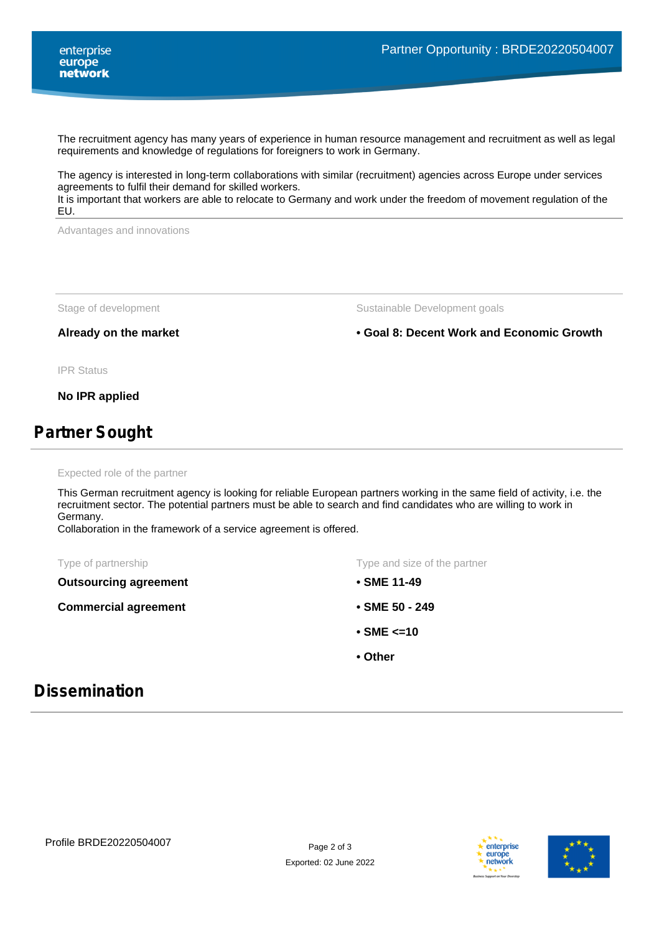The recruitment agency has many years of experience in human resource management and recruitment as well as legal requirements and knowledge of regulations for foreigners to work in Germany.

The agency is interested in long-term collaborations with similar (recruitment) agencies across Europe under services agreements to fulfil their demand for skilled workers.

It is important that workers are able to relocate to Germany and work under the freedom of movement regulation of the EU.

Advantages and innovations

Stage of development Sustainable Development goals

**Already on the market • Goal 8: Decent Work and Economic Growth**

IPR Status

**No IPR applied**

## **Partner Sought**

Expected role of the partner

This German recruitment agency is looking for reliable European partners working in the same field of activity, i.e. the recruitment sector. The potential partners must be able to search and find candidates who are willing to work in Germany.

Collaboration in the framework of a service agreement is offered.

**Outsourcing agreement**

**Commercial agreement**

Type of partnership Type and size of the partner

- **SME 11-49**
- **SME 50 249**
- **SME <=10**
- **Other**

### **Dissemination**